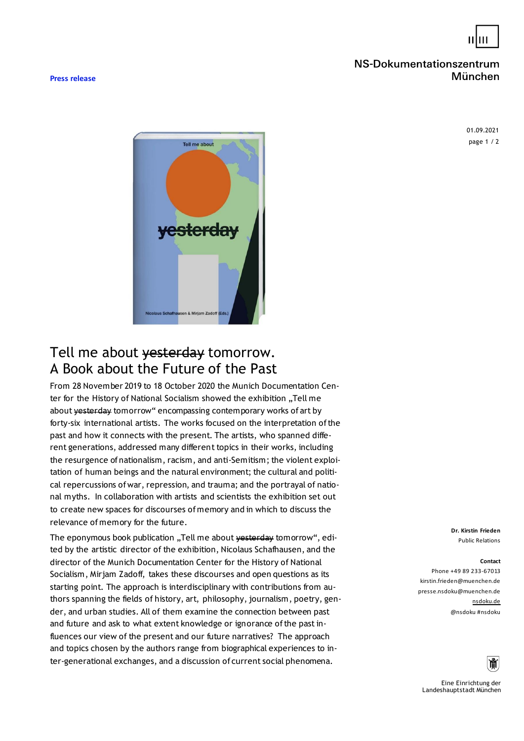

## NS-Dokumentationszentrum München

**Press release**

page 1 / 2 01.09.2021



## Tell me about vesterday tomorrow. A Book about the Future of the Past

From 28 November 2019 to 18 October 2020 the Munich Documentation Center for the History of National Socialism showed the exhibition "Tell me about vesterday tomorrow" encompassing contemporary works of art by forty-six international artists. The works focused on the interpretation of the past and how it connects with the present. The artists, who spanned different generations, addressed many different topics in their works, including the resurgence of nationalism, racism, and anti-Semitism; the violent exploitation of human beings and the natural environment; the cultural and political repercussions of war, repression, and trauma; and the portrayal of national myths. In collaboration with artists and scientists the exhibition set out to create new spaces for discourses of memory and in which to discuss the relevance of memory for the future.

The eponymous book publication "Tell me about yesterday tomorrow", edited by the artistic director of the exhibition, Nicolaus Schafhausen, and the director of the Munich Documentation Center for the History of National Socialism, Mirjam Zadoff, takes these discourses and open questions as its starting point. The approach is interdisciplinary with contributions from authors spanning the fields of history, art, philosophy, journalism, poetry, gender, and urban studies. All of them examine the connection between past and future and ask to what extent knowledge or ignorance of the past influences our view of the present and our future narratives? The approach and topics chosen by the authors range from biographical experiences to inter-generational exchanges, and a discussion of current social phenomena.

**Dr. Kirstin Frieden** Public Relations

## **Contact**

ĭŤſ

Phone +49 89 233-67013 kirstin.frieden@muenchen.de presse.nsdoku@muenchen.de nsdoku.de @nsdoku #nsdoku

Eine Einrichtung der Landeshauptstadt München